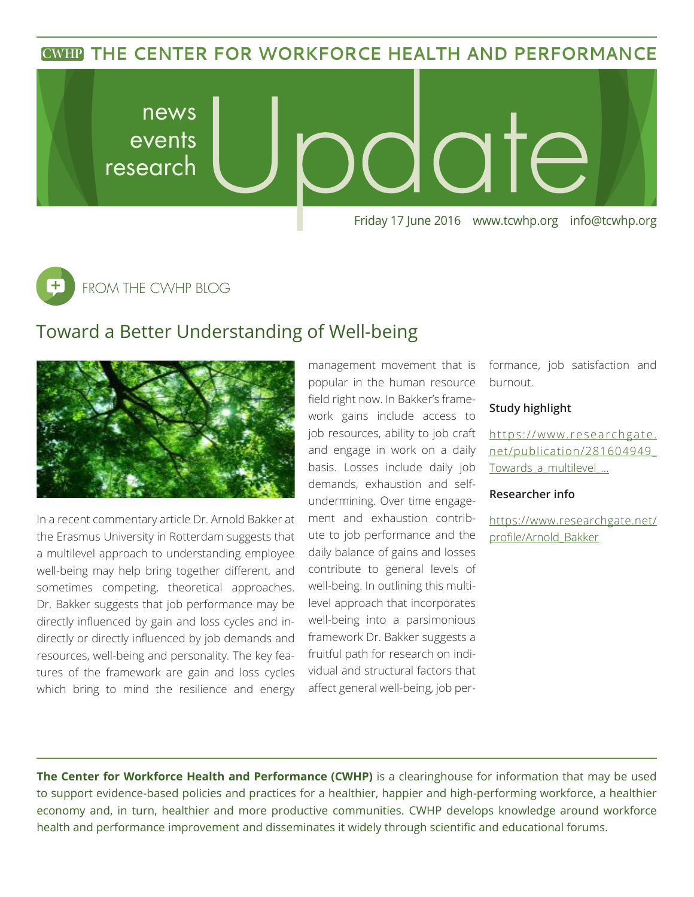### **THE CENTER FOR WORKFORCE HEALTH AND PERFORMANCE CWHP THE CENTER FORWORKFORCE HEALTH AND PERFORMANCE**



FROM THE CWHP BLOG

## Toward a Better Understanding of Well-being



In a recent commentary article Dr. Arnold Bakker at the Erasmus University in Rotterdam suggests that a multilevel approach to understanding employee well-being may help bring together different, and sometimes competing, theoretical approaches. Dr. Bakker suggests that job performance may be directly influenced by gain and loss cycles and indirectly or directly influenced by job demands and resources, well-being and personality. The key features of the framework are gain and loss cycles which bring to mind the resilience and energy management movement that is popular in the human resource field right now. In Bakker's framework gains include access to job resources, ability to job craft and engage in work on a daily basis. Losses include daily job demands, exhaustion and selfundermining. Over time engagement and exhaustion contribute to job performance and the daily balance of gains and losses contribute to general levels of well-being. In outlining this multilevel approach that incorporates well-being into a parsimonious framework Dr. Bakker suggests a fruitful path for research on individual and structural factors that affect general well-being, job performance, job satisfaction and burnout.

### **Study highlight**

[https://www.researchgate.](https://www.researchgate.net/publication/281604949_Towards_a_multilevel_) [net/publication/281604949\\_](https://www.researchgate.net/publication/281604949_Towards_a_multilevel_) Towards a multilevel ...

### **Researcher info**

[https://www.researchgate.net/](https://www.researchgate.net/profile/Arnold_Bakker) [profile/Arnold\\_Bakker](https://www.researchgate.net/profile/Arnold_Bakker)

**The Center for Workforce Health and Performance (CWHP)** is a clearinghouse for information that may be used to support evidence-based policies and practices for a healthier, happier and high-performing workforce, a healthier economy and, in turn, healthier and more productive communities. CWHP develops knowledge around workforce health and performance improvement and disseminates it widely through scientific and educational forums.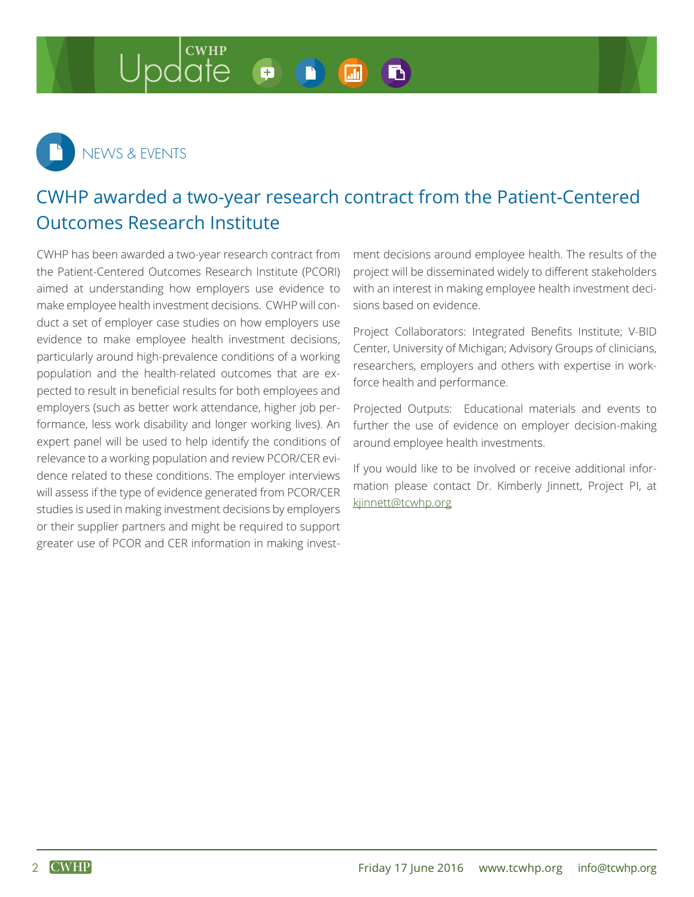#### **CWHP** B + **I.T.I**



# CWHP awarded a two-year research contract from the Patient-Centered Outcomes Research Institute

CWHP has been awarded a two-year research contract from the Patient-Centered Outcomes Research Institute (PCORI) aimed at understanding how employers use evidence to make employee health investment decisions. CWHP will conduct a set of employer case studies on how employers use evidence to make employee health investment decisions, particularly around high-prevalence conditions of a working population and the health-related outcomes that are expected to result in beneficial results for both employees and employers (such as better work attendance, higher job performance, less work disability and longer working lives). An expert panel will be used to help identify the conditions of relevance to a working population and review PCOR/CER evidence related to these conditions. The employer interviews will assess if the type of evidence generated from PCOR/CER studies is used in making investment decisions by employers or their supplier partners and might be required to support greater use of PCOR and CER information in making investment decisions around employee health. The results of the project will be disseminated widely to different stakeholders with an interest in making employee health investment decisions based on evidence.

Project Collaborators: Integrated Benefits Institute; V-BID Center, University of Michigan; Advisory Groups of clinicians, researchers, employers and others with expertise in workforce health and performance.

Projected Outputs: Educational materials and events to further the use of evidence on employer decision-making around employee health investments.

If you would like to be involved or receive additional information please contact Dr. Kimberly Jinnett, Project PI, at [kjinnett@tcwhp.org](mailto:kjinnett@tcwhp.org)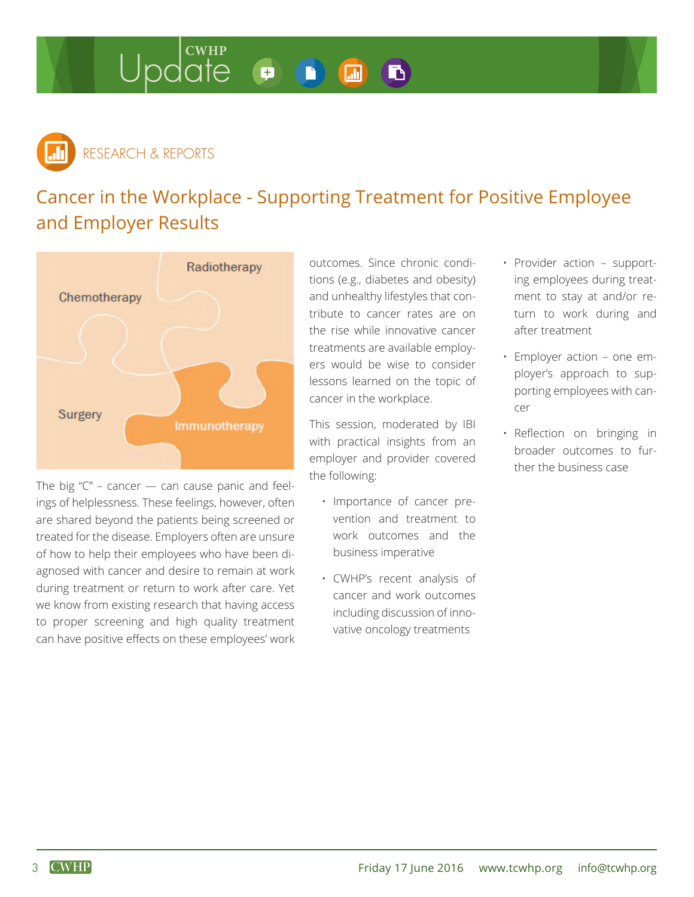#### Update  $\bullet$ B) 品



# Cancer in the Workplace - Supporting Treatment for Positive Employee and Employer Results



The big  $C'' -$  cancer  $-$  can cause panic and feelings of helplessness. These feelings, however, often are shared beyond the patients being screened or treated for the disease. Employers often are unsure of how to help their employees who have been diagnosed with cancer and desire to remain at work during treatment or return to work after care. Yet we know from existing research that having access to proper screening and high quality treatment can have positive effects on these employees' work

outcomes. Since chronic conditions (e.g., diabetes and obesity) and unhealthy lifestyles that contribute to cancer rates are on the rise while innovative cancer treatments are available employers would be wise to consider lessons learned on the topic of cancer in the workplace.

This session, moderated by IBI with practical insights from an employer and provider covered the following:

- Importance of cancer prevention and treatment to work outcomes and the business imperative
- CWHP's recent analysis of cancer and work outcomes including discussion of innovative oncology treatments
- Provider action supporting employees during treatment to stay at and/or return to work during and after treatment
- Employer action one employer's approach to supporting employees with cancer
- Reflection on bringing in broader outcomes to further the business case